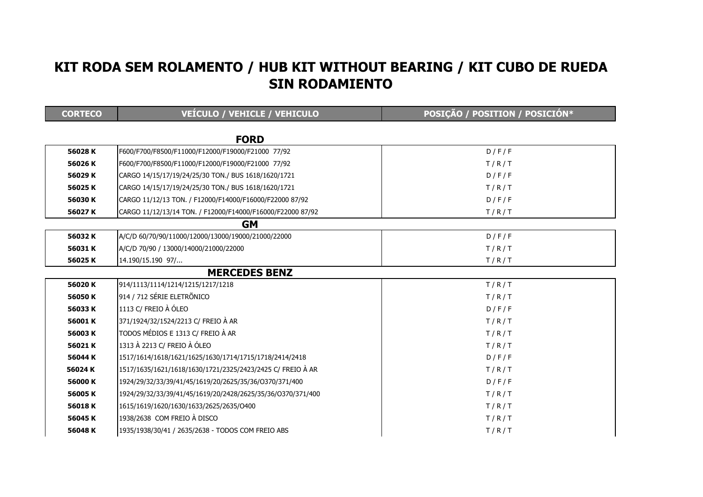## KIT RODA SEM ROLAMENTO / HUB KIT WITHOUT BEARING / KIT CUBO DE RUEDA SIN RODAMIENTO

| <b>CORTECO</b>       | VEÍCULO / VEHICLE / VEHICULO                                | POSIÇÃO / POSITION / POSICIÓN* |  |  |
|----------------------|-------------------------------------------------------------|--------------------------------|--|--|
|                      |                                                             |                                |  |  |
|                      | <b>FORD</b>                                                 |                                |  |  |
| 56028K               | F600/F700/F8500/F11000/F12000/F19000/F21000 77/92           | D/F/F                          |  |  |
| 56026K               | F600/F700/F8500/F11000/F12000/F19000/F21000 77/92           | T/R/T                          |  |  |
| 56029K               | CARGO 14/15/17/19/24/25/30 TON./ BUS 1618/1620/1721         | D/F/F                          |  |  |
| 56025K               | CARGO 14/15/17/19/24/25/30 TON./ BUS 1618/1620/1721         | T/R/T                          |  |  |
| 56030K               | CARGO 11/12/13 TON. / F12000/F14000/F16000/F22000 87/92     | D/F/F                          |  |  |
| 56027K               | CARGO 11/12/13/14 TON. / F12000/F14000/F16000/F22000 87/92  | T/R/T                          |  |  |
| <b>GM</b>            |                                                             |                                |  |  |
| 56032K               | A/C/D 60/70/90/11000/12000/13000/19000/21000/22000          | D/F/F                          |  |  |
| 56031K               | A/C/D 70/90 / 13000/14000/21000/22000                       | T/R/T                          |  |  |
| 56025K               | 14.190/15.190 97/                                           | T/R/T                          |  |  |
| <b>MERCEDES BENZ</b> |                                                             |                                |  |  |
| 56020K               | 914/1113/1114/1214/1215/1217/1218                           | T/R/T                          |  |  |
| 56050K               | 914 / 712 SÉRIE ELETRÕNICO                                  | T/R/T                          |  |  |
| 56033K               | 1113 C/ FREIO À ÓLEO                                        | D/F/F                          |  |  |
| 56001K               | 371/1924/32/1524/2213 C/ FREIO À AR                         | T/R/T                          |  |  |
| 56003K               | TODOS MÉDIOS E 1313 C/ FREIO À AR                           | T/R/T                          |  |  |
| 56021K               | 1313 À 2213 C/ FREIO À ÓLEO                                 | T/R/T                          |  |  |
| 56044 K              | 1517/1614/1618/1621/1625/1630/1714/1715/1718/2414/2418      | D/F/F                          |  |  |
| 56024K               | 1517/1635/1621/1618/1630/1721/2325/2423/2425 C/ FREIO À AR  | T/R/T                          |  |  |
| 56000 K              | 1924/29/32/33/39/41/45/1619/20/2625/35/36/0370/371/400      | D/F/F                          |  |  |
| 56005K               | 1924/29/32/33/39/41/45/1619/20/2428/2625/35/36/0370/371/400 | T/R/T                          |  |  |
| 56018K               | 1615/1619/1620/1630/1633/2625/2635/0400                     | T/R/T                          |  |  |
| 56045K               | 1938/2638 COM FREIO À DISCO                                 | T/R/T                          |  |  |
| 56048K               | 1935/1938/30/41 / 2635/2638 - TODOS COM FREIO ABS           | T/R/T                          |  |  |
|                      |                                                             |                                |  |  |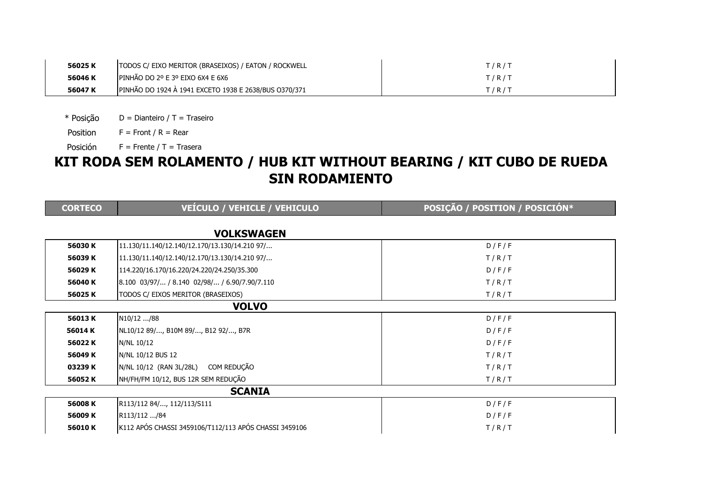| 56025K  | <b>TODOS C/ EIXO MERITOR (BRASEIXOS) / EATON / ROCKWELL</b> | I/R/T |
|---------|-------------------------------------------------------------|-------|
| 56046 K | IPINHÃO DO 2º E 3º EIXO 6X4 E 6X6                           | I/R/T |
| 56047K  | PINHÃO DO 1924 À 1941 EXCETO 1938 E 2638/BUS 0370/371       | I/R/T |

\* Posição $D =$  Dianteiro / T = Traseiro

Position $F =$  Front / R = Rear

Posición $F =$  Frente / T = Trasera

## KIT RODA SEM ROLAMENTO / HUB KIT WITHOUT BEARING / KIT CUBO DE RUEDA SIN RODAMIENTO

| <b>CORTECO</b> | VEÍCULO / VEHICLE / VEHICULO                                                  | POSIÇÃO / POSITION / POSICIÓN* |  |  |
|----------------|-------------------------------------------------------------------------------|--------------------------------|--|--|
|                |                                                                               |                                |  |  |
|                | <b>VOLKSWAGEN</b>                                                             |                                |  |  |
| 56030K         | 11.130/11.140/12.140/12.170/13.130/14.210 97/                                 | D/F/F                          |  |  |
| 56039 K        | 11.130/11.140/12.140/12.170/13.130/14.210 97/                                 | T/R/T                          |  |  |
| 56029 K        | 114.220/16.170/16.220/24.220/24.250/35.300                                    | D/F/F                          |  |  |
| 56040K         | $\left  8.100 \right  03/97/ / 8.140 \left  02/98/ / 6.90/7.90/7.110 \right $ | T/R/T                          |  |  |
| 56025K         | TODOS C/ EIXOS MERITOR (BRASEIXOS)                                            | T/R/T                          |  |  |
| <b>VOLVO</b>   |                                                                               |                                |  |  |
| 56013K         | N10/12 /88                                                                    | D/F/F                          |  |  |
| 56014 K        | NL10/12 89/, B10M 89/, B12 92/, B7R                                           | D/F/F                          |  |  |
| 56022K         | N/NL 10/12                                                                    | D/F/F                          |  |  |
| 56049 K        | N/NL 10/12 BUS 12                                                             | T/R/T                          |  |  |
| 03239 K        | COM REDUÇÃO<br>N/NL 10/12 (RAN 3L/28L)                                        | T/R/T                          |  |  |
| 56052K         | NH/FH/FM 10/12, BUS 12R SEM REDUÇÃO                                           | T/R/T                          |  |  |
| <b>SCANIA</b>  |                                                                               |                                |  |  |
| 56008 K        | R113/112 84/, 112/113/S111                                                    | D/F/F                          |  |  |
| 56009 K        | R113/112 /84                                                                  | D/F/F                          |  |  |
| 56010K         | K112 APÓS CHASSI 3459106/T112/113 APÓS CHASSI 3459106                         | T/R/T                          |  |  |